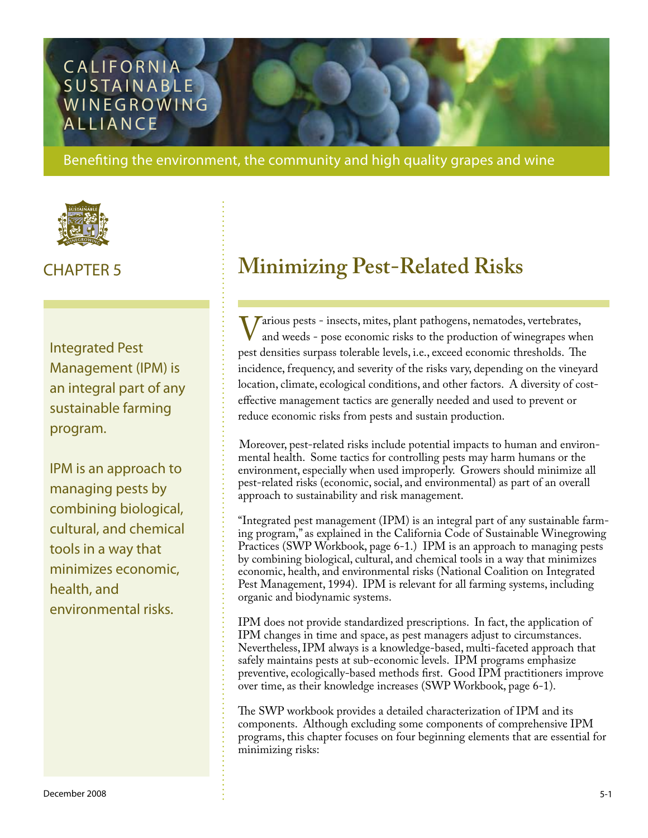# CALIFORNIA SUSTAINABLE **WINEGROWING ALLIANCE**

Benefiting the environment, the community and high quality grapes and wine



Integrated Pest Management (IPM) is an integral part of any sustainable farming program.

IPM is an approach to managing pests by combining biological, cultural, and chemical tools in a way that minimizes economic, health, and environmental risks.

# CHAPTER 5 **Minimizing Pest-Related Risks**

Various pests - insects, mites, plant pathogens, nematodes, vertebrates,<br>and weeds - pose economic risks to the production of winegrapes who<br>pest densities surpass tolerable levels i.e. exceed economic thresholds. The and weeds - pose economic risks to the production of winegrapes when pest densities surpass tolerable levels, i.e., exceed economic thresholds. The incidence, frequency, and severity of the risks vary, depending on the vineyard location, climate, ecological conditions, and other factors. A diversity of costeffective management tactics are generally needed and used to prevent or reduce economic risks from pests and sustain production.

Moreover, pest-related risks include potential impacts to human and environmental health. Some tactics for controlling pests may harm humans or the environment, especially when used improperly. Growers should minimize all pest-related risks (economic, social, and environmental) as part of an overall approach to sustainability and risk management.

"Integrated pest management (IPM) is an integral part of any sustainable farming program," as explained in the California Code of Sustainable Winegrowing Practices (SWP Workbook, page 6-1.) IPM is an approach to managing pests by combining biological, cultural, and chemical tools in a way that minimizes economic, health, and environmental risks (National Coalition on Integrated Pest Management, 1994). IPM is relevant for all farming systems, including organic and biodynamic systems.

IPM does not provide standardized prescriptions. In fact, the application of IPM changes in time and space, as pest managers adjust to circumstances. Nevertheless, IPM always is a knowledge-based, multi-faceted approach that safely maintains pests at sub-economic levels. IPM programs emphasize preventive, ecologically-based methods first. Good IPM practitioners improve over time, as their knowledge increases (SWP Workbook, page 6-1).

The SWP workbook provides a detailed characterization of IPM and its components. Although excluding some components of comprehensive IPM programs, this chapter focuses on four beginning elements that are essential for minimizing risks: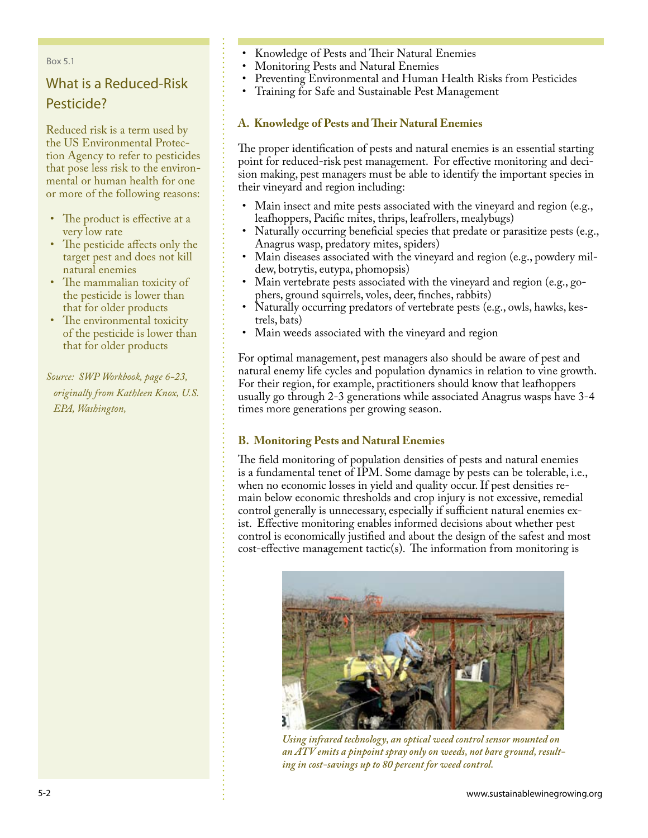#### Box 5.1

## What is a Reduced-Risk Pesticide?

Reduced risk is a term used by the US Environmental Protection Agency to refer to pesticides that pose less risk to the environmental or human health for one or more of the following reasons:

- The product is effective at a very low rate •
- The pesticide affects only the target pest and does not kill natural enemies •
- The mammalian toxicity of the pesticide is lower than that for older products
- The environmental toxicity of the pesticide is lower than that for older products

*Source: SWP Workbook, page 6-23, originally from Kathleen Knox, U.S. EPA, Washington,* 

- Knowledge of Pests and Their Natural Enemies •
- Monitoring Pests and Natural Enemies •
- Preventing Environmental and Human Health Risks from Pesticides •
- Training for Safe and Sustainable Pest Management •

#### **A. Knowledge of Pests and Their Natural Enemies**

The proper identification of pests and natural enemies is an essential starting point for reduced-risk pest management. For effective monitoring and decision making, pest managers must be able to identify the important species in their vineyard and region including:

- Main insect and mite pests associated with the vineyard and region (e.g., leafhoppers, Pacific mites, thrips, leafrollers, mealybugs) •
- Naturally occurring beneficial species that predate or parasitize pests (e.g., Anagrus wasp, predatory mites, spiders) •
- Main diseases associated with the vineyard and region (e.g., powdery mildew, botrytis, eutypa, phomopsis) •
- Main vertebrate pests associated with the vineyard and region (e.g., go-• phers, ground squirrels, voles, deer, finches, rabbits)
- Naturally occurring predators of vertebrate pests (e.g., owls, hawks, kestrels, bats) •
- Main weeds associated with the vineyard and region •

For optimal management, pest managers also should be aware of pest and natural enemy life cycles and population dynamics in relation to vine growth. For their region, for example, practitioners should know that leafhoppers usually go through 2-3 generations while associated Anagrus wasps have 3-4 times more generations per growing season.

#### **B. Monitoring Pests and Natural Enemies**

The field monitoring of population densities of pests and natural enemies is a fundamental tenet of IPM. Some damage by pests can be tolerable, i.e., when no economic losses in yield and quality occur. If pest densities remain below economic thresholds and crop injury is not excessive, remedial control generally is unnecessary, especially if sufficient natural enemies exist. Effective monitoring enables informed decisions about whether pest control is economically justified and about the design of the safest and most cost-effective management tactic(s). The information from monitoring is



*Using infrared technology, an optical weed control sensor mounted on an ATV emits a pinpoint spray only on weeds, not bare ground, resulting in cost-savings up to 80 percent for weed control.*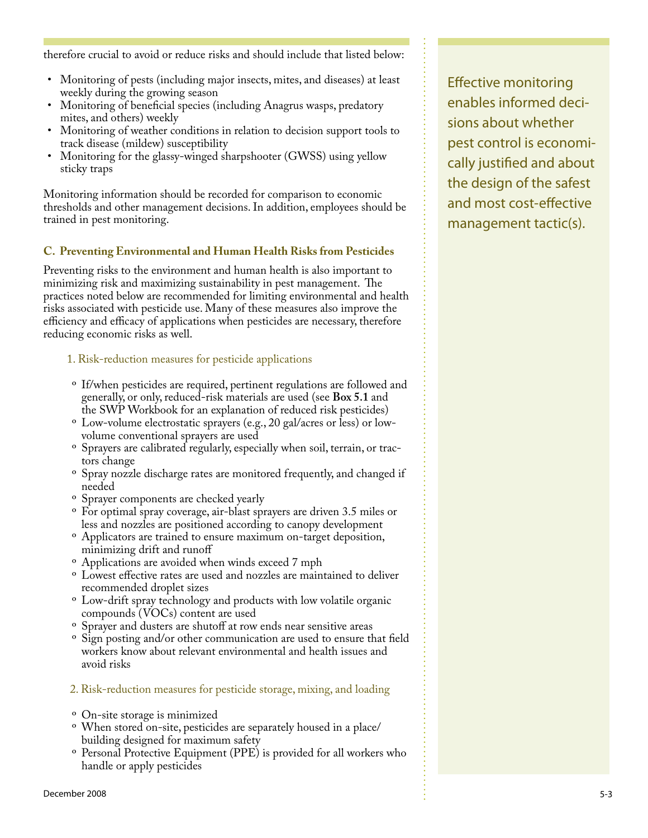therefore crucial to avoid or reduce risks and should include that listed below:

- Monitoring of pests (including major insects, mites, and diseases) at least weekly during the growing season
- Monitoring of beneficial species (including Anagrus wasps, predatory mites, and others) weekly •
- Monitoring of weather conditions in relation to decision support tools to track disease (mildew) susceptibility •
- Monitoring for the glassy-winged sharpshooter (GWSS) using yellow sticky traps •

Monitoring information should be recorded for comparison to economic thresholds and other management decisions. In addition, employees should be trained in pest monitoring.

#### **C. Preventing Environmental and Human Health Risks from Pesticides**

Preventing risks to the environment and human health is also important to minimizing risk and maximizing sustainability in pest management. The practices noted below are recommended for limiting environmental and health risks associated with pesticide use. Many of these measures also improve the efficiency and efficacy of applications when pesticides are necessary, therefore reducing economic risks as well.

- 1. Risk-reduction measures for pesticide applications
- <sup>o</sup> If/when pesticides are required, pertinent regulations are followed and generally, or only, reduced-risk materials are used (see **Box 5.1** and the SWP Workbook for an explanation of reduced risk pesticides)
- Low-volume electrostatic sprayers (e.g., 20 gal/acres or less) or low-º volume conventional sprayers are used
- $\rm ^o$  Sprayers are calibrated regularly, especially when soil, terrain, or tractors change
- $\,^{\rm o}$  Spray nozzle discharge rates are monitored frequently, and changed if needed
- <sup>o</sup> Sprayer components are checked yearly
- <sup>o</sup> For optimal spray coverage, air-blast sprayers are driven 3.5 miles or less and nozzles are positioned according to canopy development
- Applicators are trained to ensure maximum on-target deposition, º minimizing drift and runoff
- Applications are avoided when winds exceed 7 mph º
- Lowest effective rates are used and nozzles are maintained to deliver º recommended droplet sizes
- <sup>o</sup> Low-drift spray technology and products with low volatile organic compounds (VOCs) content are used
- <sup>o</sup> Sprayer and dusters are shutoff at row ends near sensitive areas
- <sup>o</sup> Sign posting and/or other communication are used to ensure that field workers know about relevant environmental and health issues and avoid risks
- 2. Risk-reduction measures for pesticide storage, mixing, and loading
- <sup>o</sup> On-site storage is minimized
- When stored on-site, pesticides are separately housed in a place/ º building designed for maximum safety
- <sup>o</sup> Personal Protective Equipment (PPE) is provided for all workers who handle or apply pesticides

Effective monitoring enables informed decisions about whether pest control is economically justified and about the design of the safest and most cost-effective management tactic(s).